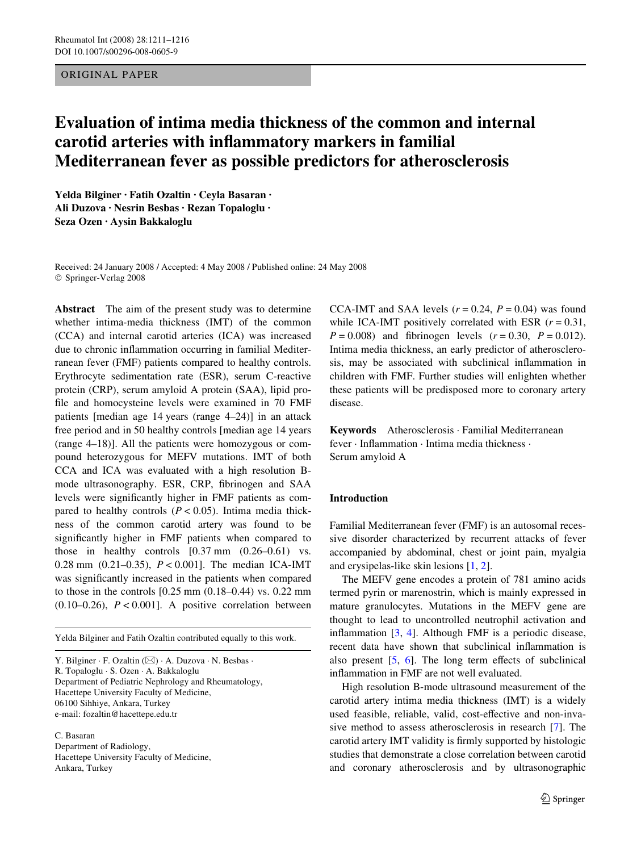# ORIGINAL PAPER

# **Evaluation of intima media thickness of the common and internal carotid arteries with inXammatory markers in familial Mediterranean fever as possible predictors for atherosclerosis**

**Yelda Bilginer · Fatih Ozaltin · Ceyla Basaran · Ali Duzova · Nesrin Besbas · Rezan Topaloglu · Seza Ozen · Aysin Bakkaloglu** 

Received: 24 January 2008 / Accepted: 4 May 2008 / Published online: 24 May 2008 © Springer-Verlag 2008

**Abstract** The aim of the present study was to determine whether intima-media thickness (IMT) of the common (CCA) and internal carotid arteries (ICA) was increased due to chronic inflammation occurring in familial Mediterranean fever (FMF) patients compared to healthy controls. Erythrocyte sedimentation rate (ESR), serum C-reactive protein (CRP), serum amyloid A protein (SAA), lipid profile and homocysteine levels were examined in 70 FMF patients [median age 14 years (range 4–24)] in an attack free period and in 50 healthy controls [median age 14 years (range 4–18)]. All the patients were homozygous or compound heterozygous for MEFV mutations. IMT of both CCA and ICA was evaluated with a high resolution Bmode ultrasonography. ESR, CRP, fibrinogen and SAA levels were significantly higher in FMF patients as compared to healthy controls  $(P < 0.05)$ . Intima media thickness of the common carotid artery was found to be significantly higher in FMF patients when compared to those in healthy controls [0.37 mm (0.26–0.61) vs. 0.28 mm (0.21–0.35), *P* < 0.001]. The median ICA-IMT was significantly increased in the patients when compared to those in the controls [0.25 mm (0.18–0.44) vs. 0.22 mm  $(0.10-0.26)$ ,  $P < 0.001$ ]. A positive correlation between

Yelda Bilginer and Fatih Ozaltin contributed equally to this work.

Y. Bilginer  $\cdot$  F. Ozaltin ( $\boxtimes$ )  $\cdot$  A. Duzova  $\cdot$  N. Besbas  $\cdot$ R. Topaloglu · S. Ozen · A. Bakkaloglu Department of Pediatric Nephrology and Rheumatology, Hacettepe University Faculty of Medicine, 06100 Sihhiye, Ankara, Turkey

e-mail: fozaltin@hacettepe.edu.tr

C. Basaran Department of Radiology, Hacettepe University Faculty of Medicine, Ankara, Turkey

CCA-IMT and SAA levels  $(r = 0.24, P = 0.04)$  was found while ICA-IMT positively correlated with ESR  $(r = 0.31,$  $P = 0.008$  and fibrinogen levels ( $r = 0.30$ ,  $P = 0.012$ ). Intima media thickness, an early predictor of atherosclerosis, may be associated with subclinical inflammation in children with FMF. Further studies will enlighten whether these patients will be predisposed more to coronary artery disease.

**Keywords** Atherosclerosis · Familial Mediterranean fever · Inflammation · Intima media thickness · Serum amyloid A

## **Introduction**

Familial Mediterranean fever (FMF) is an autosomal recessive disorder characterized by recurrent attacks of fever accompanied by abdominal, chest or joint pain, myalgia and erysipelas-like skin lesions [[1,](#page-5-0) [2\]](#page-5-1).

The MEFV gene encodes a protein of 781 amino acids termed pyrin or marenostrin, which is mainly expressed in mature granulocytes. Mutations in the MEFV gene are thought to lead to uncontrolled neutrophil activation and inflammation  $[3, 4]$  $[3, 4]$  $[3, 4]$  $[3, 4]$ . Although FMF is a periodic disease, recent data have shown that subclinical inflammation is also present  $[5, 6]$  $[5, 6]$  $[5, 6]$  $[5, 6]$  $[5, 6]$ . The long term effects of subclinical inflammation in FMF are not well evaluated.

High resolution B-mode ultrasound measurement of the carotid artery intima media thickness (IMT) is a widely used feasible, reliable, valid, cost-effective and non-invasive method to assess atherosclerosis in research [\[7](#page-5-6)]. The carotid artery IMT validity is firmly supported by histologic studies that demonstrate a close correlation between carotid and coronary atherosclerosis and by ultrasonographic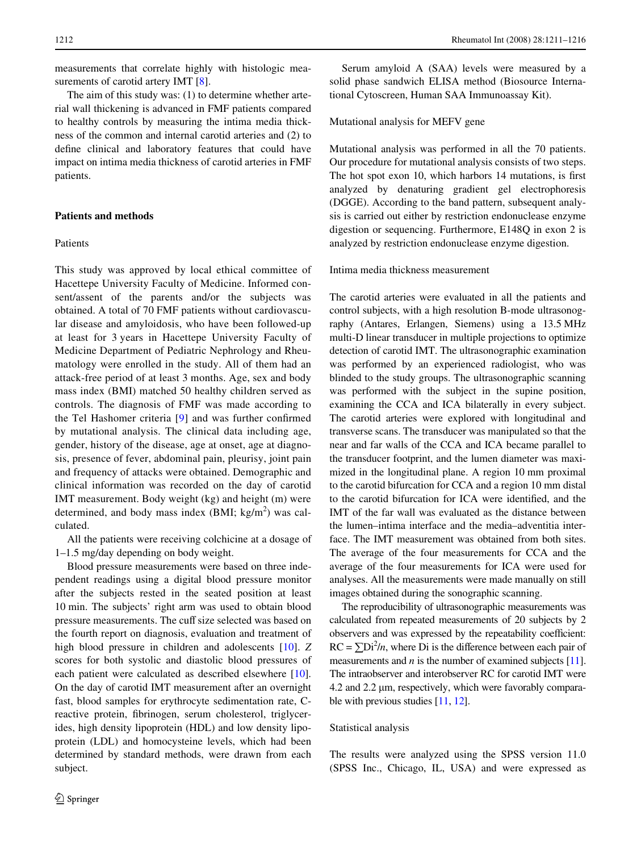measurements that correlate highly with histologic mea-surements of carotid artery IMT [\[8](#page-5-7)].

The aim of this study was: (1) to determine whether arterial wall thickening is advanced in FMF patients compared to healthy controls by measuring the intima media thickness of the common and internal carotid arteries and (2) to define clinical and laboratory features that could have impact on intima media thickness of carotid arteries in FMF patients.

## **Patients and methods**

# Patients

This study was approved by local ethical committee of Hacettepe University Faculty of Medicine. Informed consent/assent of the parents and/or the subjects was obtained. A total of 70 FMF patients without cardiovascular disease and amyloidosis, who have been followed-up at least for 3 years in Hacettepe University Faculty of Medicine Department of Pediatric Nephrology and Rheumatology were enrolled in the study. All of them had an attack-free period of at least 3 months. Age, sex and body mass index (BMI) matched 50 healthy children served as controls. The diagnosis of FMF was made according to the Tel Hashomer criteria  $[9]$  $[9]$  and was further confirmed by mutational analysis. The clinical data including age, gender, history of the disease, age at onset, age at diagnosis, presence of fever, abdominal pain, pleurisy, joint pain and frequency of attacks were obtained. Demographic and clinical information was recorded on the day of carotid IMT measurement. Body weight (kg) and height (m) were determined, and body mass index  $(BMI; kg/m<sup>2</sup>)$  was calculated.

All the patients were receiving colchicine at a dosage of 1–1.5 mg/day depending on body weight.

Blood pressure measurements were based on three independent readings using a digital blood pressure monitor after the subjects rested in the seated position at least 10 min. The subjects' right arm was used to obtain blood pressure measurements. The cuff size selected was based on the fourth report on diagnosis, evaluation and treatment of high blood pressure in children and adolescents [[10\]](#page-5-9). *Z* scores for both systolic and diastolic blood pressures of each patient were calculated as described elsewhere [\[10](#page-5-9)]. On the day of carotid IMT measurement after an overnight fast, blood samples for erythrocyte sedimentation rate, Creactive protein, fibrinogen, serum cholesterol, triglycerides, high density lipoprotein (HDL) and low density lipoprotein (LDL) and homocysteine levels, which had been determined by standard methods, were drawn from each subject.

Serum amyloid A (SAA) levels were measured by a solid phase sandwich ELISA method (Biosource International Cytoscreen, Human SAA Immunoassay Kit).

## Mutational analysis for MEFV gene

Mutational analysis was performed in all the 70 patients. Our procedure for mutational analysis consists of two steps. The hot spot exon 10, which harbors 14 mutations, is first analyzed by denaturing gradient gel electrophoresis (DGGE). According to the band pattern, subsequent analysis is carried out either by restriction endonuclease enzyme digestion or sequencing. Furthermore, E148Q in exon 2 is analyzed by restriction endonuclease enzyme digestion.

Intima media thickness measurement

The carotid arteries were evaluated in all the patients and control subjects, with a high resolution B-mode ultrasonography (Antares, Erlangen, Siemens) using a 13.5 MHz multi-D linear transducer in multiple projections to optimize detection of carotid IMT. The ultrasonographic examination was performed by an experienced radiologist, who was blinded to the study groups. The ultrasonographic scanning was performed with the subject in the supine position, examining the CCA and ICA bilaterally in every subject. The carotid arteries were explored with longitudinal and transverse scans. The transducer was manipulated so that the near and far walls of the CCA and ICA became parallel to the transducer footprint, and the lumen diameter was maximized in the longitudinal plane. A region 10 mm proximal to the carotid bifurcation for CCA and a region 10 mm distal to the carotid bifurcation for ICA were identified, and the IMT of the far wall was evaluated as the distance between the lumen–intima interface and the media–adventitia interface. The IMT measurement was obtained from both sites. The average of the four measurements for CCA and the average of the four measurements for ICA were used for analyses. All the measurements were made manually on still images obtained during the sonographic scanning.

The reproducibility of ultrasonographic measurements was calculated from repeated measurements of 20 subjects by 2 observers and was expressed by the repeatability coefficient:  $RC = \sum Di^2/n$ , where Di is the difference between each pair of measurements and *n* is the number of examined subjects [\[11\]](#page-5-10). The intraobserver and interobserver RC for carotid IMT were  $4.2$  and  $2.2 \mu m$ , respectively, which were favorably compara-ble with previous studies [\[11,](#page-5-10) [12](#page-5-11)].

#### Statistical analysis

The results were analyzed using the SPSS version 11.0 (SPSS Inc., Chicago, IL, USA) and were expressed as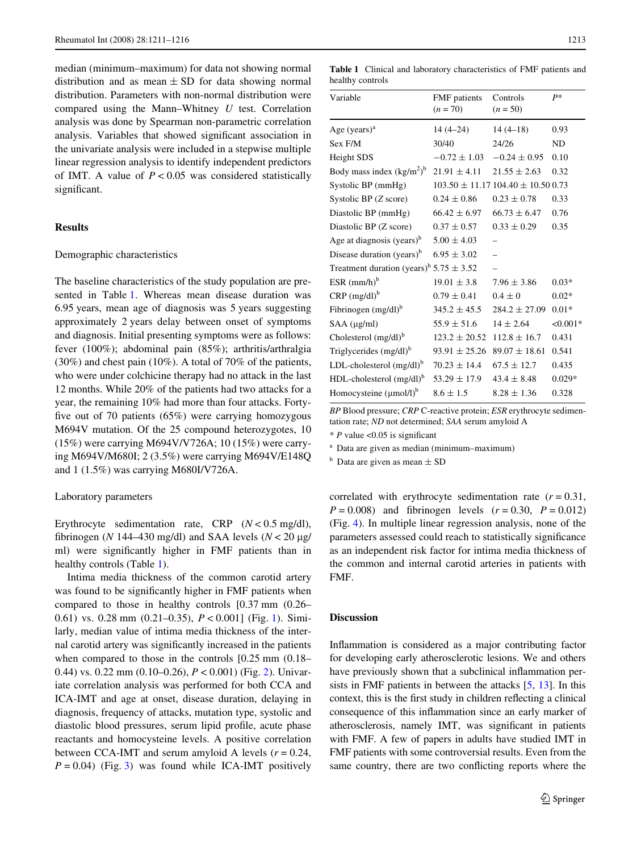median (minimum–maximum) for data not showing normal distribution and as mean  $\pm$  SD for data showing normal distribution. Parameters with non-normal distribution were compared using the Mann–Whitney *U* test. Correlation analysis was done by Spearman non-parametric correlation analysis. Variables that showed significant association in the univariate analysis were included in a stepwise multiple linear regression analysis to identify independent predictors of IMT. A value of  $P < 0.05$  was considered statistically significant.

## **Results**

#### Demographic characteristics

The baseline characteristics of the study population are presented in Table [1](#page-2-0). Whereas mean disease duration was 6.95 years, mean age of diagnosis was 5 years suggesting approximately 2 years delay between onset of symptoms and diagnosis. Initial presenting symptoms were as follows: fever (100%); abdominal pain (85%); arthritis/arthralgia (30%) and chest pain (10%). A total of 70% of the patients, who were under colchicine therapy had no attack in the last 12 months. While 20% of the patients had two attacks for a year, the remaining 10% had more than four attacks. Fortyfive out of 70 patients  $(65%)$  were carrying homozygous M694V mutation. Of the 25 compound heterozygotes, 10 (15%) were carrying M694V/V726A; 10 (15%) were carrying M694V/M680I; 2 (3.5%) were carrying M694V/E148Q and 1 (1.5%) was carrying M680I/V726A.

#### Laboratory parameters

Erythrocyte sedimentation rate, CRP (*N* < 0.5 mg/dl), fibrinogen ( $N$  144–430 mg/dl) and SAA levels ( $N < 20 \mu$ g/ ml) were significantly higher in FMF patients than in healthy controls (Table [1](#page-2-0)).

Intima media thickness of the common carotid artery was found to be significantly higher in FMF patients when compared to those in healthy controls [0.37 mm (0.26– 0.61) vs. 0.28 mm (0.21–0.35), *P* < 0.001] (Fig. [1](#page-3-0)). Similarly, median value of intima media thickness of the internal carotid artery was significantly increased in the patients when compared to those in the controls [0.25 mm (0.18– 0.44) vs. 0.22 mm (0.10–0.26), *P* < 0.001) (Fig. [2\)](#page-3-1). Univariate correlation analysis was performed for both CCA and ICA-IMT and age at onset, disease duration, delaying in diagnosis, frequency of attacks, mutation type, systolic and diastolic blood pressures, serum lipid profile, acute phase reactants and homocysteine levels. A positive correlation between CCA-IMT and serum amyloid A levels  $(r = 0.24,$  $P = 0.04$ ) (Fig. [3](#page-3-2)) was found while ICA-IMT positively

<span id="page-2-0"></span>**Table 1** Clinical and laboratory characteristics of FMF patients and healthy controls

| Variable                                                | <b>FMF</b> patients<br>$(n = 70)$ | Controls<br>$(n = 50)$                     | $P*$       |
|---------------------------------------------------------|-----------------------------------|--------------------------------------------|------------|
| Age $(years)a$                                          | $14(4-24)$                        | $14(4-18)$                                 | 0.93       |
| Sex F/M                                                 | 30/40                             | 24/26                                      | ND         |
| Height SDS                                              | $-0.72 \pm 1.03$                  | $-0.24 \pm 0.95$                           | 0.10       |
| Body mass index $(kg/m2)b$                              | $21.91 \pm 4.11$                  | $21.55 \pm 2.63$                           | 0.32       |
| Systolic BP (mmHg)                                      |                                   | $103.50 \pm 11.17$ $104.40 \pm 10.50$ 0.73 |            |
| Systolic BP (Z score)                                   | $0.24 \pm 0.86$                   | $0.23 \pm 0.78$                            | 0.33       |
| Diastolic BP (mmHg)                                     | $66.42 \pm 6.97$                  | $66.73 \pm 6.47$                           | 0.76       |
| Diastolic BP (Z score)                                  | $0.37 \pm 0.57$                   | $0.33 \pm 0.29$                            | 0.35       |
| Age at diagnosis (years) $b$                            | $5.00 \pm 4.03$                   |                                            |            |
| Disease duration (years) <sup>b</sup>                   | $6.95 \pm 3.02$                   |                                            |            |
| Treatment duration (years) <sup>b</sup> $5.75 \pm 3.52$ |                                   |                                            |            |
| ESR $(mm/h)^b$                                          | $19.01 \pm 3.8$                   | $7.96 \pm 3.86$                            | $0.03*$    |
| $CRP (mg/dl)^b$                                         | $0.79 \pm 0.41$                   | $0.4 \pm 0$                                | $0.02*$    |
| Fibrinogen $(mg/dl)^b$                                  | $345.2 \pm 45.5$                  | $284.2 \pm 27.09$                          | $0.01*$    |
| SAA (µg/ml)                                             | $55.9 \pm 51.6$                   | $14 \pm 2.64$                              | $< 0.001*$ |
| Cholesterol $(mg/dl)^b$                                 | $123.2 \pm 20.52$                 | $112.8 \pm 16.7$                           | 0.431      |
| Triglycerides (mg/dl) <sup>b</sup>                      | $93.91 \pm 25.26$                 | $89.07 \pm 18.61$                          | 0.541      |
| LDL-cholesterol $(mg/dl)^b$                             | $70.23 \pm 14.4$                  | $67.5 \pm 12.7$                            | 0.435      |
| $HDL$ -cholesterol $(mg/dl)^b$                          | $53.29 \pm 17.9$                  | $43.4 \pm 8.48$                            | $0.029*$   |
| Homocysteine $(\mu$ mol/l) <sup>b</sup>                 | $8.6 \pm 1.5$                     | $8.28 \pm 1.36$                            | 0.328      |

*BP* Blood pressure; *CRP* C-reactive protein; *ESR* erythrocyte sedimentation rate; *ND* not determined; *SAA* serum amyloid A

 $* P$  value <0.05 is significant

<sup>a</sup> Data are given as median (minimum–maximum)

 $<sup>b</sup>$  Data are given as mean  $\pm$  SD</sup>

correlated with erythrocyte sedimentation rate  $(r = 0.31,$  $P = 0.008$ ) and fibrinogen levels  $(r = 0.30, P = 0.012)$ (Fig. [4\)](#page-4-0). In multiple linear regression analysis, none of the parameters assessed could reach to statistically significance as an independent risk factor for intima media thickness of the common and internal carotid arteries in patients with FMF.

# **Discussion**

Inflammation is considered as a major contributing factor for developing early atherosclerotic lesions. We and others have previously shown that a subclinical inflammation persists in FMF patients in between the attacks [\[5](#page-5-4), [13\]](#page-5-12). In this context, this is the first study in children reflecting a clinical consequence of this inflammation since an early marker of atherosclerosis, namely IMT, was significant in patients with FMF. A few of papers in adults have studied IMT in FMF patients with some controversial results. Even from the same country, there are two conflicting reports where the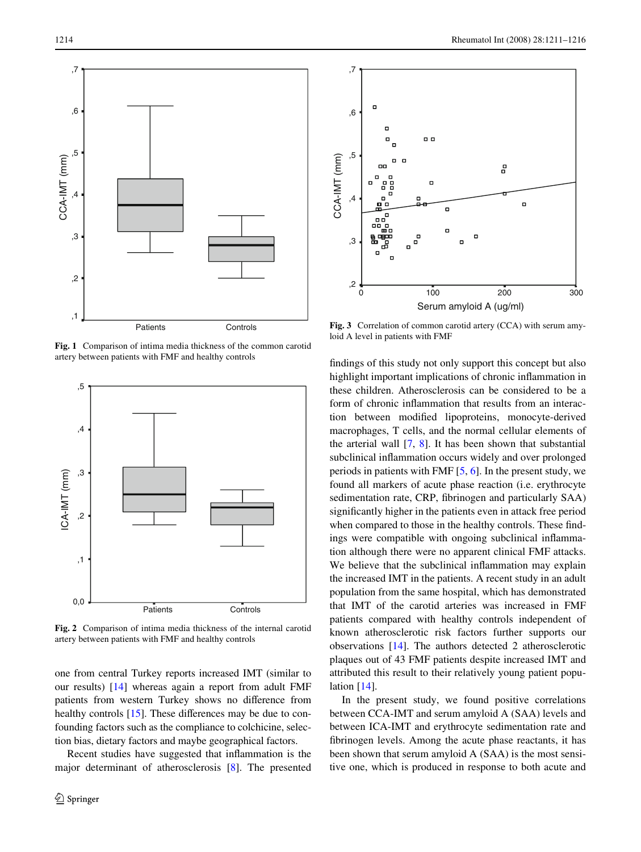

<span id="page-3-0"></span>**Fig. 1** Comparison of intima media thickness of the common carotid artery between patients with FMF and healthy controls



<span id="page-3-1"></span>**Fig. 2** Comparison of intima media thickness of the internal carotid artery between patients with FMF and healthy controls

one from central Turkey reports increased IMT (similar to our results) [\[14](#page-5-13)] whereas again a report from adult FMF patients from western Turkey shows no difference from healthy controls  $[15]$  $[15]$ . These differences may be due to confounding factors such as the compliance to colchicine, selection bias, dietary factors and maybe geographical factors.

Recent studies have suggested that inflammation is the major determinant of atherosclerosis [\[8\]](#page-5-7). The presented



<span id="page-3-2"></span>**Fig. 3** Correlation of common carotid artery (CCA) with serum amyloid A level in patients with FMF

findings of this study not only support this concept but also highlight important implications of chronic inflammation in these children. Atherosclerosis can be considered to be a form of chronic inflammation that results from an interaction between modified lipoproteins, monocyte-derived macrophages, T cells, and the normal cellular elements of the arterial wall [\[7](#page-5-6), [8](#page-5-7)]. It has been shown that substantial subclinical inflammation occurs widely and over prolonged periods in patients with FMF [[5,](#page-5-4) [6\]](#page-5-5). In the present study, we found all markers of acute phase reaction (i.e. erythrocyte sedimentation rate, CRP, fibrinogen and particularly SAA) significantly higher in the patients even in attack free period when compared to those in the healthy controls. These findings were compatible with ongoing subclinical inflammation although there were no apparent clinical FMF attacks. We believe that the subclinical inflammation may explain the increased IMT in the patients. A recent study in an adult population from the same hospital, which has demonstrated that IMT of the carotid arteries was increased in FMF patients compared with healthy controls independent of known atherosclerotic risk factors further supports our observations [\[14](#page-5-13)]. The authors detected 2 atherosclerotic plaques out of 43 FMF patients despite increased IMT and attributed this result to their relatively young patient population [[14\]](#page-5-13).

In the present study, we found positive correlations between CCA-IMT and serum amyloid A (SAA) levels and between ICA-IMT and erythrocyte sedimentation rate and fibrinogen levels. Among the acute phase reactants, it has been shown that serum amyloid A (SAA) is the most sensitive one, which is produced in response to both acute and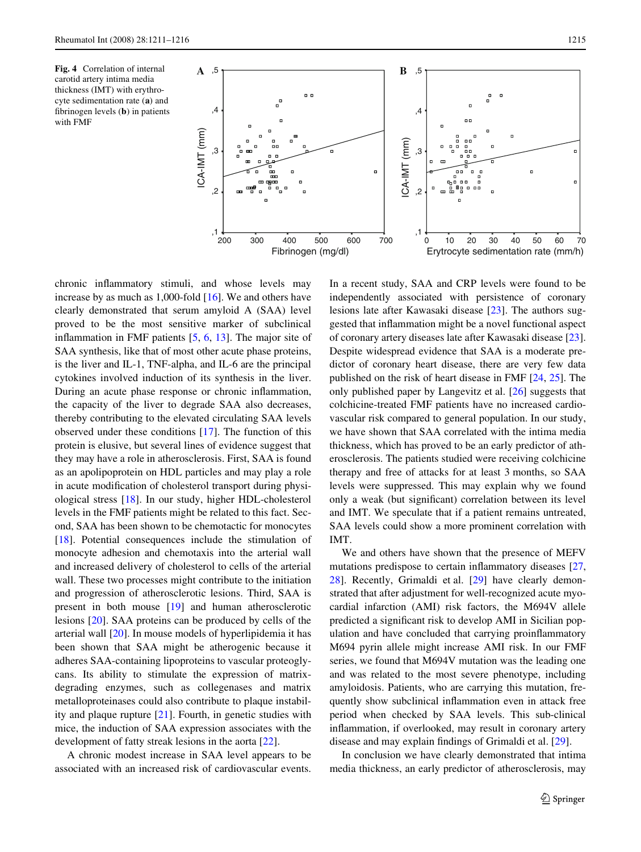<span id="page-4-0"></span>**Fig. 4** Correlation of internal carotid artery intima media thickness (IMT) with erythrocyte sedimentation rate (**a**) and fibrinogen levels  $(b)$  in patients with FMF



chronic inflammatory stimuli, and whose levels may increase by as much as 1,000-fold [\[16](#page-5-15)]. We and others have clearly demonstrated that serum amyloid A (SAA) level proved to be the most sensitive marker of subclinical inflammation in FMF patients  $[5, 6, 13]$  $[5, 6, 13]$  $[5, 6, 13]$  $[5, 6, 13]$  $[5, 6, 13]$  $[5, 6, 13]$ . The major site of SAA synthesis, like that of most other acute phase proteins, is the liver and IL-1, TNF-alpha, and IL-6 are the principal cytokines involved induction of its synthesis in the liver. During an acute phase response or chronic inflammation, the capacity of the liver to degrade SAA also decreases, thereby contributing to the elevated circulating SAA levels observed under these conditions [[17\]](#page-5-16). The function of this protein is elusive, but several lines of evidence suggest that they may have a role in atherosclerosis. First, SAA is found as an apolipoprotein on HDL particles and may play a role in acute modification of cholesterol transport during physiological stress [[18\]](#page-5-17). In our study, higher HDL-cholesterol levels in the FMF patients might be related to this fact. Second, SAA has been shown to be chemotactic for monocytes [\[18](#page-5-17)]. Potential consequences include the stimulation of monocyte adhesion and chemotaxis into the arterial wall and increased delivery of cholesterol to cells of the arterial wall. These two processes might contribute to the initiation and progression of atherosclerotic lesions. Third, SAA is present in both mouse [[19\]](#page-5-18) and human atherosclerotic lesions [\[20](#page-5-19)]. SAA proteins can be produced by cells of the arterial wall [[20\]](#page-5-19). In mouse models of hyperlipidemia it has been shown that SAA might be atherogenic because it adheres SAA-containing lipoproteins to vascular proteoglycans. Its ability to stimulate the expression of matrixdegrading enzymes, such as collegenases and matrix metalloproteinases could also contribute to plaque instability and plaque rupture [[21\]](#page-5-20). Fourth, in genetic studies with mice, the induction of SAA expression associates with the development of fatty streak lesions in the aorta [\[22](#page-5-21)].

A chronic modest increase in SAA level appears to be associated with an increased risk of cardiovascular events.

In a recent study, SAA and CRP levels were found to be independently associated with persistence of coronary lesions late after Kawasaki disease [[23\]](#page-5-22). The authors suggested that inflammation might be a novel functional aspect of coronary artery diseases late after Kawasaki disease [\[23](#page-5-22)]. Despite widespread evidence that SAA is a moderate predictor of coronary heart disease, there are very few data published on the risk of heart disease in FMF [[24,](#page-5-23) [25](#page-5-24)]. The only published paper by Langevitz et al. [[26\]](#page-5-25) suggests that colchicine-treated FMF patients have no increased cardiovascular risk compared to general population. In our study, we have shown that SAA correlated with the intima media thickness, which has proved to be an early predictor of atherosclerosis. The patients studied were receiving colchicine therapy and free of attacks for at least 3 months, so SAA levels were suppressed. This may explain why we found only a weak (but significant) correlation between its level and IMT. We speculate that if a patient remains untreated, SAA levels could show a more prominent correlation with IMT.

We and others have shown that the presence of MEFV mutations predispose to certain inflammatory diseases  $[27,$  $[27,$ [28](#page-5-27)]. Recently, Grimaldi et al. [\[29](#page-5-28)] have clearly demonstrated that after adjustment for well-recognized acute myocardial infarction (AMI) risk factors, the M694V allele predicted a significant risk to develop AMI in Sicilian population and have concluded that carrying proinflammatory M694 pyrin allele might increase AMI risk. In our FMF series, we found that M694V mutation was the leading one and was related to the most severe phenotype, including amyloidosis. Patients, who are carrying this mutation, frequently show subclinical inflammation even in attack free period when checked by SAA levels. This sub-clinical inflammation, if overlooked, may result in coronary artery disease and may explain findings of Grimaldi et al. [\[29](#page-5-28)].

In conclusion we have clearly demonstrated that intima media thickness, an early predictor of atherosclerosis, may